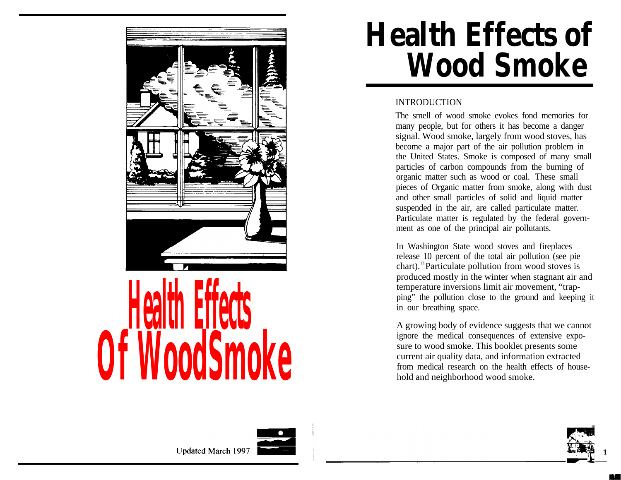

# **Health Effects of Wood Smoke**

#### INTRODUCTION

The smell of wood smoke evokes fond memories for many people, but for others it has become a danger signal. Wood smoke, largely from wood stoves, has become a major part of the air pollution problem in the United States. Smoke is composed of many small particles of carbon compounds from the burning of organic matter such as wood or coal. These small pieces of Organic matter from smoke, along with dust and other small particles of solid and liquid matter suspended in the air, are called particulate matter. Particulate matter is regulated by the federal government as one of the principal air pollutants.

In Washington State wood stoves and fireplaces release 10 percent of the total air pollution (see pie chart).13 Particulate pollution from wood stoves is produced mostly in the winter when stagnant air and temperature inversions limit air movement, "trapping" the pollution close to the ground and keeping it in our breathing space.

A growing body of evidence suggests that we cannot ignore the medical consequences of extensive exposure to wood smoke. This booklet presents some current air quality data, and information extracted from medical research on the health effects of household and neighborhood wood smoke.





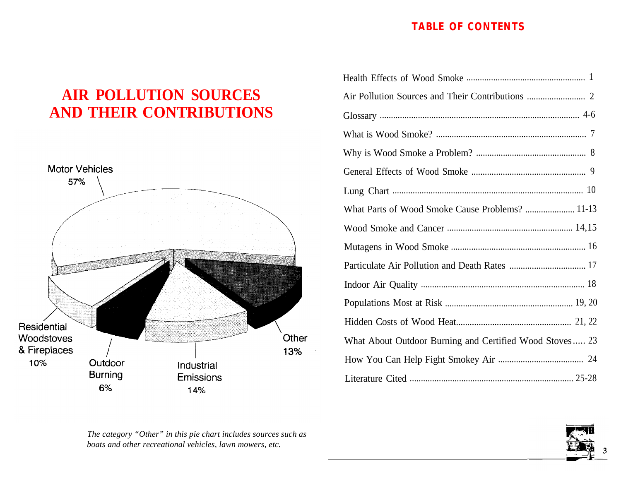#### **TABLE OF CONTENTS**

#### **AIR POLLUTION SOURCES AND THEIR CONTRIBUTIONS**



| What Parts of Wood Smoke Cause Problems?  11-13         |
|---------------------------------------------------------|
|                                                         |
|                                                         |
|                                                         |
|                                                         |
|                                                         |
|                                                         |
| What About Outdoor Burning and Certified Wood Stoves 23 |
|                                                         |
|                                                         |

*The category "Other" in this pie chart includes sources such as boats and other recreational vehicles, lawn mowers, etc.*

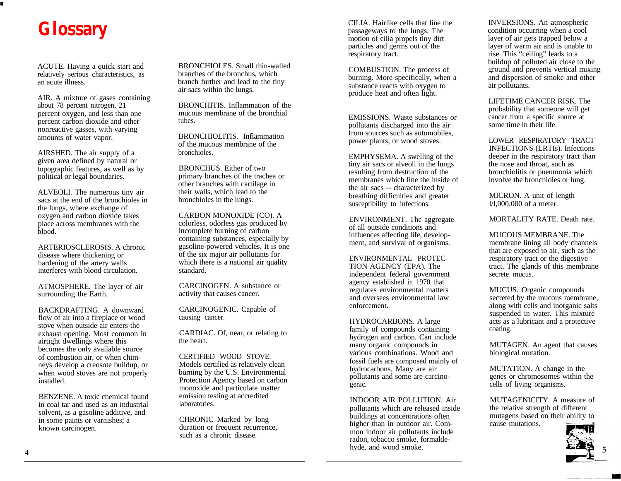### **Glossary**

I

ACUTE. Having a quick start and relatively serious characteristics, as an acute illness.

AIR. A mixture of gases containing about 78 percent nitrogen, 21 percent oxygen, and less than one percent carbon dioxide and other nonreactive gasses, with varying amounts of water vapor.

AIRSHED. The air supply of a given area defined by natural or topographic features, as well as by political or legal boundaries.

ALVEOLI. The numerous tiny air sacs at the end of the bronchioles in the lungs, where exchange of oxygen and carbon dioxide takes place across membranes with the blood.

ARTERIOSCLEROSIS. A chronic disease where thickening or hardening of the artery walls interferes with blood circulation.

ATMOSPHERE. The layer of air surrounding the Earth.

BACKDRAFTING. A downward flow of air into a fireplace or wood stove when outside air enters the exhaust opening. Most common in airtight dwellings where this becomes the only available source of combustion air, or when chimneys develop a creosote buildup, or when wood stoves are not properly installed.

BENZENE. A toxic chemical found in coal tar and used as an industrial solvent, as a gasoline additive, and in some paints or varnishes; a known carcinogen.

BRONCHIOLES. Small thin-walled branches of the bronchus, which branch further and lead to the tiny air sacs within the lungs.

BRONCHITIS. Inflammation of the mucous membrane of the bronchial tubes.

BRONCHIOLITIS. Inflammation of the mucous membrane of the bronchioles.

BRONCHUS. Either of two primary branches of the trachea or other branches with cartilage in their walls, which lead to the bronchioles in the lungs.

CARBON MONOXIDE (CO). A colorless, odorless gas produced by incomplete burning of carbon containing substances, especially by gasoline-powered vehicles. It is one of the six major air pollutants for which there is a national air quality standard.

CARCINOGEN. A substance or activity that causes cancer.

CARCINOGENIC. Capable of causing cancer.

CARDIAC. Of, near, or relating to the heart.

CERTIFIED WOOD STOVE. Models certified as relatively clean burning by the U.S. Environmental Protection Agency based on carbon monoxide and particulate matter emission testing at accredited laboratories.

CHRONIC Marked by long duration or frequent recurrence. such as a chronic disease.

CILIA. Hairlike cells that line the passageways to the lungs. The motion of cilia propels tiny dirt particles and germs out of the respiratory tract.

COMBUSTION. The process of burning. More specifically, when a substance reacts with oxygen to produce heat and often light.

EMISSIONS. Waste substances or pollutants discharged into the air from sources such as automobiles, power plants, or wood stoves.

EMPHYSEMA. A swelling of the tiny air sacs or alveoli in the lungs resulting from destruction of the membranes which line the inside of the air sacs -- characterized by breathing difficulties and greater susceptibility to infections.

ENVIRONMENT. The aggregate of all outside conditions and influences affecting life, development, and survival of organisms.

ENVIRONMENTAL PROTEC-TION AGENCY (EPA). The independent federal government agency established in 1970 that regulates environmental matters and oversees environmental law enforcement.

HYDROCARBONS. A large family of compounds containing hydrogen and carbon. Can include many organic compounds in various combinations. Wood and fossil fuels are composed mainly of hydrocarbons. Many are air pollutants and some are carcinogenic.

INDOOR AIR POLLUTION. Air pollutants which are released inside buildings at concentrations often higher than in outdoor air. Common indoor air pollutants include radon, tobacco smoke, formaldehyde, and wood smoke.

INVERSIONS. An atmospheric condition occurring when a cool layer of air gets trapped below a layer of warm air and is unable to rise. This "ceiling" leads to a buildup of polluted air close to the ground and prevents vertical mixing and dispersion of smoke and other air pollutants.

LIFETIME CANCER RISK. The probability that someone will get cancer from a specific source at some time in their life.

LOWER RESPIRATORY TRACT INFECTIONS (LRTIs). Infections deeper in the respiratory tract than the nose and throat, such as bronchiolitis or pneumonia which involve the bronchioles or lung.

MICRON. A unit of length l/l,000,000 of a meter.

MORTALITY RATE. Death rate.

MUCOUS MEMBRANE. The membrane lining all body channels that are exposed to air, such as the respiratory tract or the digestive tract. The glands of this membrane secrete mucus.

MUCUS. Organic compounds secreted by the mucous membrane, along with cells and inorganic salts suspended in water. This mixture acts as a lubricant and a protective coating.

MUTAGEN. An agent that causes biological mutation.

MUTATION. A change in the genes or chromosomes within the cells of living organisms.

MUTAGENICITY. A measure of the relative strength of different mutagens based on their ability to cause mutations.

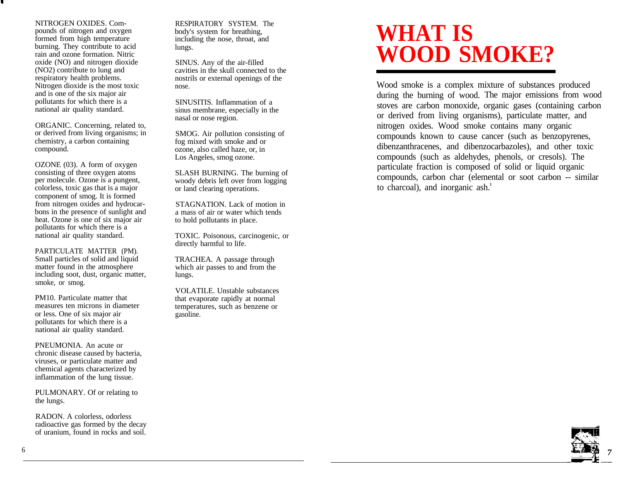NITROGEN OXIDES. Compounds of nitrogen and oxygen formed from high temperature burning. They contribute to acid rain and ozone formation. Nitric oxide (NO) and nitrogen dioxide (NO2) contribute to lung and respiratory health problems. Nitrogen dioxide is the most toxic and is one of the six major air pollutants for which there is a national air quality standard.

ORGANIC. Concerning, related to, or derived from living organisms; in chemistry, a carbon containing compound.

OZONE (03). A form of oxygen consisting of three oxygen atoms per molecule. Ozone is a pungent, colorless, toxic gas that is a major component of smog. It is formed from nitrogen oxides and hydrocarbons in the presence of sunlight and heat. Ozone is one of six major air pollutants for which there is a national air quality standard.

PARTICULATE MATTER (PM). Small particles of solid and liquid matter found in the atmosphere including soot, dust, organic matter, smoke, or smog.

PM10. Particulate matter that measures ten microns in diameter or less. One of six major air pollutants for which there is a national air quality standard.

PNEUMONIA. An acute or chronic disease caused by bacteria, viruses, or particulate matter and chemical agents characterized by inflammation of the lung tissue.

PULMONARY. Of or relating to the lungs.

RADON. A colorless, odorless radioactive gas formed by the decay of uranium, found in rocks and soil.

RESPIRATORY SYSTEM. The body's system for breathing, including the nose, throat, and lungs.

SINUS. Any of the air-filled cavities in the skull connected to the nostrils or external openings of the nose.

SINUSITIS. Inflammation of a sinus membrane, especially in the nasal or nose region.

SMOG. Air pollution consisting of fog mixed with smoke and or ozone, also called haze, or, in Los Angeles, smog ozone.

SLASH BURNING. The burning of woody debris left over from logging or land clearing operations.

STAGNATION. Lack of motion in a mass of air or water which tends to hold pollutants in place.

TOXIC. Poisonous, carcinogenic, or directly harmful to life.

TRACHEA. A passage through which air passes to and from the lungs.

VOLATILE. Unstable substances that evaporate rapidly at normal temperatures, such as benzene or gasoline.

# **WHAT IS WOOD SMOKE?**

Wood smoke is a complex mixture of substances produced during the burning of wood . The major emissions from wood stoves are carbon monoxide, organic gases (containing carbon or derived from living organisms), particulate matter, and nitrogen oxides. Wood smoke contains many organic compounds known to cause cancer (such as benzopyrenes, dibenzanthracenes, and dibenzocarbazoles), and other toxic compounds (such as aldehydes, phenols, or cresols). The particulate fraction is composed of solid or liquid organic compounds, carbon char (elemental or soot carbon -- similar to charcoal), and inorganic ash.<sup>1</sup>

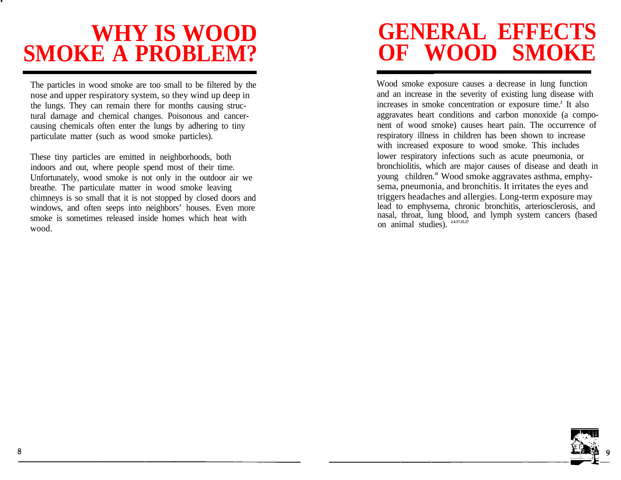## **WHY IS WOOD SMOKE A PROBLEM?**

The particles in wood smoke are too small to be filtered by the nose and upper respiratory system, so they wind up deep in the lungs. They can remain there for months causing structural damage and chemical changes. Poisonous and cancercausing chemicals often enter the lungs by adhering to tiny particulate matter (such as wood smoke particles).

These tiny particles are emitted in neighborhoods, both indoors and out, where people spend most of their time. Unfortunately, wood smoke is not only in the outdoor air we breathe. The particulate matter in wood smoke leaving chimneys is so small that it is not stopped by closed doors and windows, and often seeps into neighbors' houses. Even more smoke is sometimes released inside homes which heat with wood.

# **GENERAL EFFECTS OF WOOD SMOKE**

Wood smoke exposure causes a decrease in lung function and an increase in the severity of existing lung disease with increases in smoke concentration or exposure time. **2** It also aggravates heart conditions and carbon monoxide (a component of wood smoke) causes heart pain. The occurrence of respiratory illness in children has been shown to increase with increased exposure to wood smoke. This includes lower respiratory infections such as acute pneumonia, or bronchiolitis, which are major causes of disease and death in young children.<sup>20</sup> Wood smoke aggravates asthma, emphysema, pneumonia, and bronchitis. It irritates the eyes and triggers headaches and allergies. Long-term exposure may lead to emphysema, chronic bronchitis, arteriosclerosis, and nasal, throat, lung blood, and lymph system cancers (based on animal studies). **2.4.17.25.27**

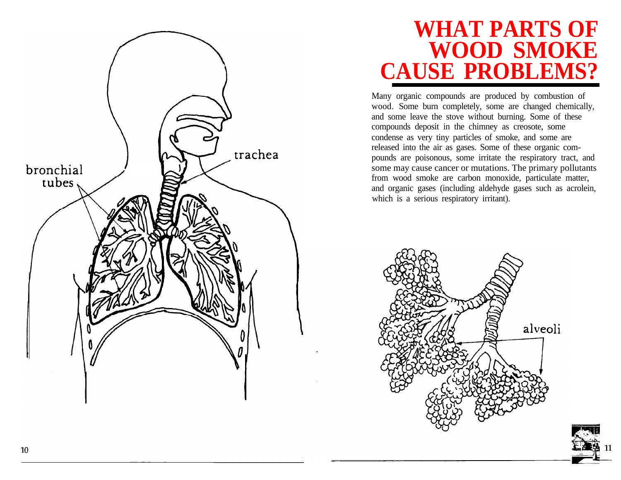

#### **WHAT PARTS OF WOOD SMOKE CAUSE PROBLEMS?**

Many organic compounds are produced by combustion of wood. Some burn completely, some are changed chemically, and some leave the stove without burning. Some of these compounds deposit in the chimney as creosote, some condense as very tiny particles of smoke, and some are released into the air as gases. Some of these organic compounds are poisonous, some irritate the respiratory tract, and some may cause cancer or mutations. The primary pollutants from wood smoke are carbon monoxide, particulate matter, and organic gases (including aldehyde gases such as acrolein, which is a serious respiratory irritant).

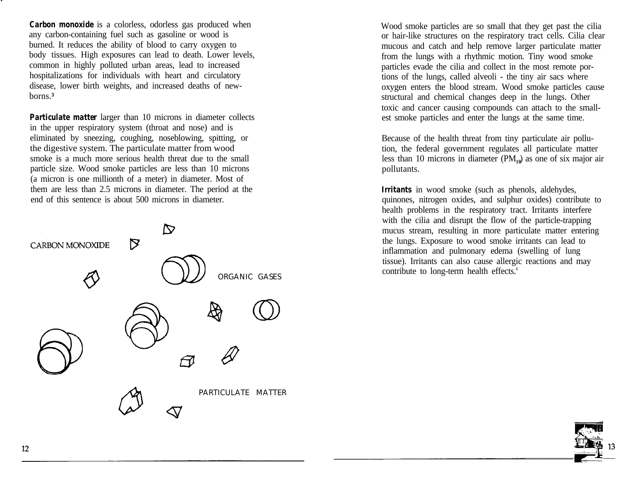*Carbon monoxide* is a colorless, odorless gas produced when any carbon-containing fuel such as gasoline or wood is burned. It reduces the ability of blood to carry oxygen to body tissues. High exposures can lead to death. Lower levels, common in highly polluted urban areas, lead to increased hospitalizations for individuals with heart and circulatory disease, lower birth weights, and increased deaths of newborns.**³**

*Particulate matter larger than 10 microns in diameter collects* in the upper respiratory system (throat and nose) and is eliminated by sneezing, coughing, noseblowing, spitting, or the digestive system. The particulate matter from wood smoke is a much more serious health threat due to the small particle size. Wood smoke particles are less than 10 microns (a micron is one millionth of a meter) in diameter. Most of them are less than 2.5 microns in diameter. The period at the end of this sentence is about 500 microns in diameter.



Wood smoke particles are so small that they get past the cilia or hair-like structures on the respiratory tract cells. Cilia clear mucous and catch and help remove larger particulate matter from the lungs with a rhythmic motion. Tiny wood smoke particles evade the cilia and collect in the most remote portions of the lungs, called alveoli - the tiny air sacs where oxygen enters the blood stream. Wood smoke particles cause structural and chemical changes deep in the lungs. Other toxic and cancer causing compounds can attach to the smallest smoke particles and enter the lungs at the same time.

Because of the health threat from tiny particulate air pollution, the federal government regulates all particulate matter less than 10 microns in diameter (PM**10**) as one of six major air pollutants.

*Irritants* in wood smoke (such as phenols, aldehydes, quinones, nitrogen oxides, and sulphur oxides) contribute to health problems in the respiratory tract. Irritants interfere with the cilia and disrupt the flow of the particle-trapping mucus stream, resulting in more particulate matter entering the lungs. Exposure to wood smoke irritants can lead to inflammation and pulmonary edema (swelling of lung tissue). Irritants can also cause allergic reactions and may contribute to long-term health effects.<sup>1</sup>

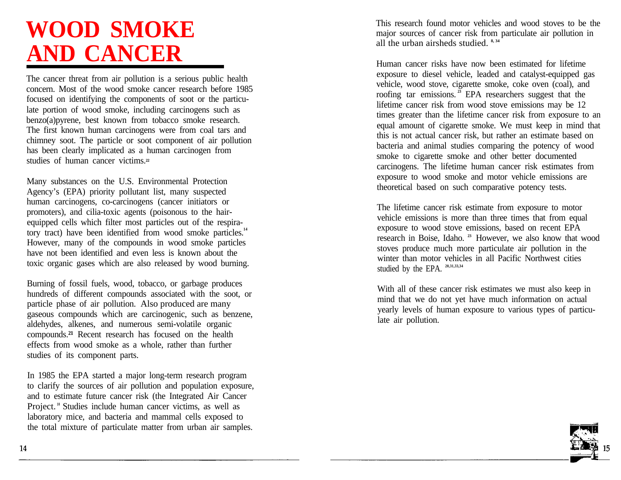# **WOOD SMOKE AND CANCER**

The cancer threat from air pollution is a serious public health concern. Most of the wood smoke cancer research before 1985 focused on identifying the components of soot or the particulate portion of wood smoke, including carcinogens such as benzo(a)pyrene, best known from tobacco smoke research. The first known human carcinogens were from coal tars and chimney soot. The particle or soot component of air pollution has been clearly implicated as a human carcinogen from studies of human cancer victims.**²²**

Many substances on the U.S. Environmental Protection Agency's (EPA) priority pollutant list, many suspected human carcinogens, co-carcinogens (cancer initiators or promoters), and cilia-toxic agents (poisonous to the hairequipped cells which filter most particles out of the respiratory tract) have been identified from wood smoke particles.<sup>14</sup> However, many of the compounds in wood smoke particles have not been identified and even less is known about the toxic organic gases which are also released by wood burning.

Burning of fossil fuels, wood, tobacco, or garbage produces hundreds of different compounds associated with the soot, or particle phase of air pollution . Also produced are many gaseous compounds which are carcinogenic, such as benzene, aldehydes, alkenes, and numerous semi-volatile organic compounds.<sup>21</sup> Recent research has focused on the health effects from wood smoke as a whole, rather than further studies of its component parts.

In 1985 the EPA started a major long-term research program to clarify the sources of air pollution and population exposure, and to estimate future cancer risk (the Integrated Air Cancer Project.<sup>10</sup> Studies include human cancer victims, as well as laboratory mice, and bacteria and mammal cells exposed to the total mixture of particulate matter from urban air samples.

This research found motor vehicles and wood stoves to be the major sources of cancer risk from particulate air pollution in all the urban airsheds studied. **8, 34**

Human cancer risks have now been estimated for lifetime exposure to diesel vehicle, leaded and catalyst-equipped gas vehicle, wood stove, cigarette smoke, coke oven (coal), and roofing tar emissions.<sup>25</sup> EPA researchers suggest that the lifetime cancer risk from wood stove emissions may be 12 times greater than the lifetime cancer risk from exposure to an equal amount of cigarette smoke. We must keep in mind that this is not actual cancer risk, but rather an estimate based on bacteria and animal studies comparing the potency of wood smoke to cigarette smoke and other better documented carcinogens. The lifetime human cancer risk estimates from exposure to wood smoke and motor vehicle emissions are theoretical based on such comparative potency tests.

The lifetime cancer risk estimate from exposure to motor vehicle emissions is more than three times that from equal exposure to wood stove emissions, based on recent EPA research in Boise, Idaho.<sup>23</sup> However, we also know that wood stoves produce much more particulate air pollution in the winter than motor vehicles in all Pacific Northwest cities studied by the EPA . **20,31,33,34**

With all of these cancer risk estimates we must also keep in mind that we do not yet have much information on actual yearly levels of human exposure to various types of particulate air pollution.

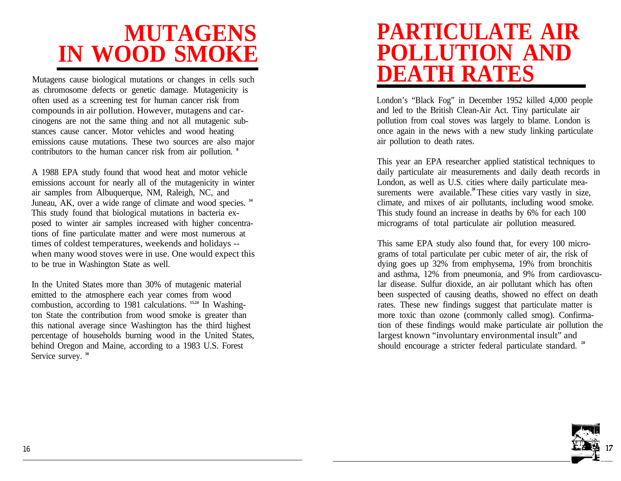# **MUTAGENS IN WOOD SMOKE**

Mutagens cause biological mutations or changes in cells such as chromosome defects or genetic damage. Mutagenicity is often used as a screening test for human cancer risk from compounds in air pollution. However, mutagens and carcinogens are not the same thing and not all mutagenic substances cause cancer. Motor vehicles and wood heating emissions cause mutations. These two sources are also major contributors to the human cancer risk from air pollution. **<sup>8</sup>**

A 1988 EPA study found that wood heat and motor vehicle emissions account for nearly all of the mutagenicity in winter air samples from Albuquerque, NM, Raleigh, NC, and Juneau, AK, over a wide range of climate and wood species. **<sup>34</sup>** This study found that biological mutations in bacteria exposed to winter air samples increased with higher concentrations of fine particulate matter and were most numerous at times of coldest temperatures, weekends and holidays - when many wood stoves were in use. One would expect this to be true in Washington State as well.

In the United States more than 30% of mutagenic material emitted to the atmosphere each year comes from wood combustion, according to 1981 calculations. **15.24** In Washington State the contribution from wood smoke is greater than this national average since Washington has the third highest percentage of households burning wood in the United States, behind Oregon and Maine, according to a 1983 U.S. Forest Service survey.<sup>30</sup>

### **PARTICULATE AIR POLLUTION AND DEATH RATES**

London's "Black Fog" in December 1952 killed 4,000 people and led to the British Clean-Air Act. Tiny particulate air pollution from coal stoves was largely to blame. London is once again in the news with a new study linking particulate air pollution to death rates.

This year an EPA researcher applied statistical techniques to daily particulate air measurements and daily death records in London, as well as U.S. cities where daily particulate measurements were available.<sup>28</sup> These cities vary vastly in size, climate, and mixes of air pollutants, including wood smoke. This study found an increase in deaths by 6% for each 100 micrograms of total particulate air pollution measured.

This same EPA study also found that, for every 100 micrograms of total particulate per cubic meter of air, the risk of dying goes up 32% from emphysema, 19% from bronchitis and asthma, 12% from pneumonia, and 9% from cardiovascular disease. Sulfur dioxide, an air pollutant which has often been suspected of causing deaths, showed no effect on death rates. These new findings suggest that particulate matter is more toxic than ozone (commonly called smog). Confirmation of these findings would make particulate air pollution the largest known "involuntary environmental insult" and should encourage a stricter federal particulate standard. **28**

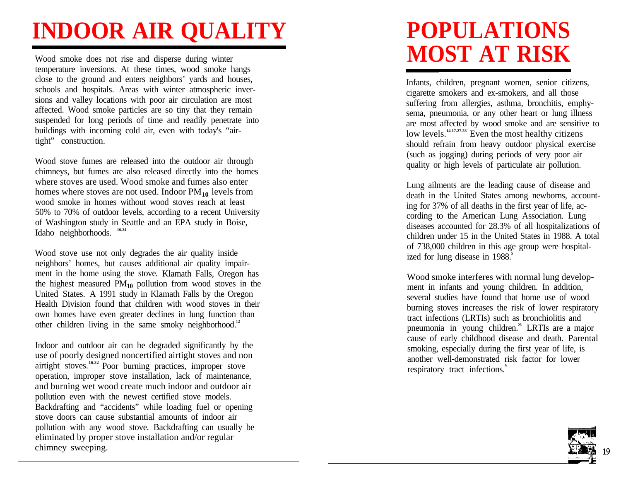# **INDOOR AIR QUALITY**

Wood smoke does not rise and disperse during winter temperature inversions. At these times, wood smoke hangs close to the ground and enters neighbors' yards and houses, schools and hospitals. Areas with winter atmospheric inversions and valley locations with poor air circulation are most affected. Wood smoke particles are so tiny that they remain suspended for long periods of time and readily penetrate into buildings with incoming cold air, even with today's "airtight" construction.

Wood stove fumes are released into the outdoor air through chimneys, but fumes are also released directly into the homes where stoves are used. Wood smoke and fumes also enter homes where stoves are not used. Indoor PM<sub>10</sub> levels from wood smoke in homes without wood stoves reach at least 50% to 70% of outdoor levels, according to a recent University of Washington study in Seattle and an EPA study in Boise, Idaho neighborhoods. **16.24**

Wood stove use not only degrades the air quality inside neighbors' homes, but causes additional air quality impairment in the home using the stove. Klamath Falls, Oregon has the highest measured PM**10** pollution from wood stoves in the United States . A 1991 study in Klamath Falls by the Oregon Health Division found that children with wood stoves in their own homes have even greater declines in lung function than other children living in the same smoky neighborhood.**<sup>12</sup>**

Indoor and outdoor air can be degraded significantly by the use of poorly designed noncertified airtight stoves and non airtight stoves.**16.32** Poor burning practices, improper stove operation, improper stove installation, lack of maintenance, and burning wet wood create much indoor and outdoor air pollution even with the newest certified stove models. Backdrafting and "accidents" while loading fuel or opening stove doors can cause substantial amounts of indoor air pollution with any wood stove . Backdrafting can usually be eliminated by proper stove installation and/or regular chimney sweeping.

# **POPULATIONS MOST AT RISK**

Infants, children, pregnant women, senior citizens, cigarette smokers and ex-smokers, and all those suffering from allergies, asthma, bronchitis, emphysema, pneumonia, or any other heart or lung illness are most affected by wood smoke and are sensitive to low levels.**14.17.27.28** Even the most healthy citizens should refrain from heavy outdoor physical exercise (such as jogging) during periods of very poor air quality or high levels of particulate air pollution.

Lung ailments are the leading cause of disease and death in the United States among newborns, accounting for 37% of all deaths in the first year of life, according to the American Lung Association. Lung diseases accounted for 28.3% of all hospitalizations of children under 15 in the United States in 1988. A total of 738,000 children in this age group were hospitalized for lung disease in 1988.<sup>5</sup>

Wood smoke interferes with normal lung development in infants and young children. In addition, several studies have found that home use of wood burning stoves increases the risk of lower respiratory tract infections (LRTIs) such as bronchiolitis and pneumonia in young children.**<sup>26</sup>** LRTIs are a major cause of early childhood disease and death . Parental smoking, especially during the first year of life, is another well-demonstrated risk factor for lower respiratory tract infections.<sup>9</sup>

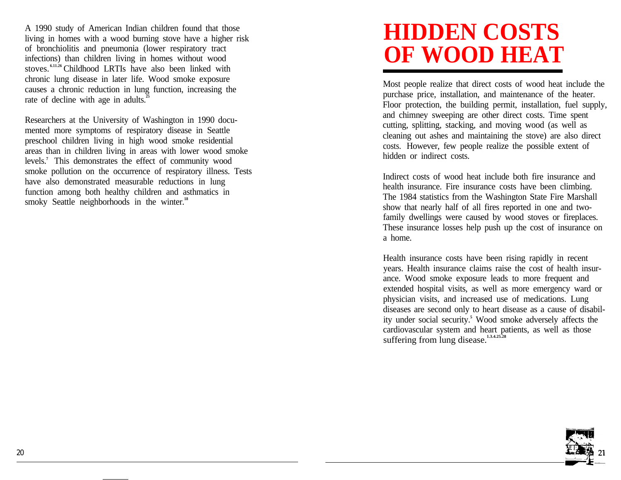A 1990 study of American Indian children found that those living in homes with a wood burning stove have a higher risk of bronchiolitis and pneumonia (lower respiratory tract infections) than children living in homes without wood stoves.<sup>6.11.26</sup> Childhood LRTIs have also been linked with chronic lung disease in later life. Wood smoke exposure causes a chronic reduction in lung function, increasing the rate of decline with age in adults.<sup>2</sup>

Researchers at the University of Washington in 1990 documented more symptoms of respiratory disease in Seattle preschool children living in high wood smoke residential areas than in children living in areas with lower wood smoke levels.**<sup>7</sup>** This demonstrates the effect of community wood smoke pollution on the occurrence of respiratory illness. Tests have also demonstrated measurable reductions in lung function among both healthy children and asthmatics in smoky Seattle neighborhoods in the winter.<sup>18</sup>

# **HIDDEN COSTS OF WOOD HEAT**

Most people realize that direct costs of wood heat include the purchase price, installation, and maintenance of the heater. Floor protection, the building permit, installation, fuel supply, and chimney sweeping are other direct costs. Time spent cutting, splitting, stacking, and moving wood (as well as cleaning out ashes and maintaining the stove) are also direct costs. However, few people realize the possible extent of hidden or indirect costs.

Indirect costs of wood heat include both fire insurance and health insurance. Fire insurance costs have been climbing. The 1984 statistics from the Washington State Fire Marshall show that nearly half of all fires reported in one and twofamily dwellings were caused by wood stoves or fireplaces. These insurance losses help push up the cost of insurance on a home.

Health insurance costs have been rising rapidly in recent years. Health insurance claims raise the cost of health insurance. Wood smoke exposure leads to more frequent and extended hospital visits, as well as more emergency ward or physician visits, and increased use of medications. Lung diseases are second only to heart disease as a cause of disability under social security.**<sup>5</sup>** Wood smoke adversely affects the cardiovascular system and heart patients, as well as those suffering from lung disease.**1.3.4.25.28**

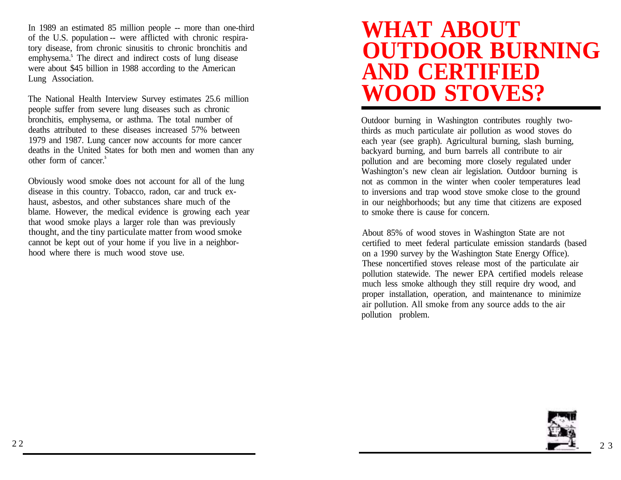In 1989 an estimated 85 million people -- more than one-third of the U.S. population -- were afflicted with chronic respiratory disease, from chronic sinusitis to chronic bronchitis and emphysema.**<sup>5</sup>** The direct and indirect costs of lung disease were about \$45 billion in 1988 according to the American Lung Association.

The National Health Interview Survey estimates 25.6 million people suffer from severe lung diseases such as chronic bronchitis, emphysema, or asthma. The total number of deaths attributed to these diseases increased 57% between 1979 and 1987. Lung cancer now accounts for more cancer deaths in the United States for both men and women than any other form of cancer.**<sup>5</sup>**

Obviously wood smoke does not account for all of the lung disease in this country. Tobacco, radon, car and truck exhaust, asbestos, and other substances share much of the blame. However, the medical evidence is growing each year that wood smoke plays a larger role than was previously thought, and the tiny particulate matter from wood smoke cannot be kept out of your home if you live in a neighborhood where there is much wood stove use.

#### **WHAT ABOUT OUTDOOR BURNING AND CERTIFIED WOOD STOVES?**

Outdoor burning in Washington contributes roughly twothirds as much particulate air pollution as wood stoves do each year (see graph). Agricultural burning, slash burning, backyard burning, and burn barrels all contribute to air pollution and are becoming more closely regulated under Washington's new clean air legislation. Outdoor burning is not as common in the winter when cooler temperatures lead to inversions and trap wood stove smoke close to the ground in our neighborhoods; but any time that citizens are exposed to smoke there is cause for concern.

About 85% of wood stoves in Washington State are not certified to meet federal particulate emission standards (based on a 1990 survey by the Washington State Energy Office). These noncertified stoves release most of the particulate air pollution statewide. The newer EPA certified models release much less smoke although they still require dry wood, and proper installation, operation, and maintenance to minimize air pollution. All smoke from any source adds to the air pollution problem.

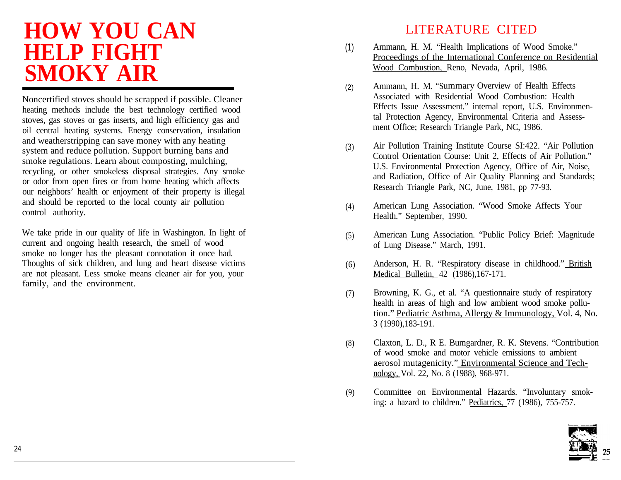## **HOW YOU CAN HELP FIGHT SMOKY AIR**

Noncertified stoves should be scrapped if possible. Cleaner heating methods include the best technology certified wood stoves, gas stoves or gas inserts, and high efficiency gas and oil central heating systems. Energy conservation, insulation and weatherstripping can save money with any heating system and reduce pollution. Support burning bans and smoke regulations. Learn about composting, mulching, recycling, or other smokeless disposal strategies. Any smoke or odor from open fires or from home heating which affects our neighbors' health or enjoyment of their property is illegal and should be reported to the local county air pollution control authority.

We take pride in our quality of life in Washington. In light of current and ongoing health research, the smell of wood smoke no longer has the pleasant connotation it once had. Thoughts of sick children, and lung and heart disease victims are not pleasant. Less smoke means cleaner air for you, your family, and the environment.

#### LITERATURE CITED

- (1) Ammann, H. M. "Health Implications of Wood Smoke." Proceedings of the International Conference on Residential Wood Combustion, Reno, Nevada, April, 1986.
- (2) Ammann, H. M. "Summary Overview of Health Effects Associated with Residential Wood Combustion: Health Effects Issue Assessment." internal report, U.S. Environmental Protection Agency, Environmental Criteria and Assessment Office; Research Triangle Park, NC, 1986.
- (3) Air Pollution Training Institute Course SI:422. "Air Pollution Control Orientation Course: Unit 2, Effects of Air Pollution." U.S. Environmental Protection Agency, Office of Air, Noise, and Radiation, Office of Air Quality Planning and Standards; Research Triangle Park, NC, June, 1981, pp 77-93.
- (4) American Lung Association. "Wood Smoke Affects Your Health." September, 1990.
- (5) American Lung Association. "Public Policy Brief: Magnitude of Lung Disease." March, 1991.
- (6) Anderson, H. R. "Respiratory disease in childhood." British Medical Bulletin, 42 (1986),167-171.
- (7) Browning, K. G., et al. "A questionnaire study of respiratory health in areas of high and low ambient wood smoke pollution." Pediatric Asthma, Allergy & Immunology, Vol. 4, No. 3 (1990),183-191.
- (8) Claxton, L. D., R E. Bumgardner, R. K. Stevens. "Contribution of wood smoke and motor vehicle emissions to ambient aerosol mutagenicity." Environmental Science and Technology, Vol. 22, No. 8 (1988), 968-971.
- (9) Committee on Environmental Hazards. "Involuntary smoking: a hazard to children." Pediatrics, 77 (1986), 755-757.

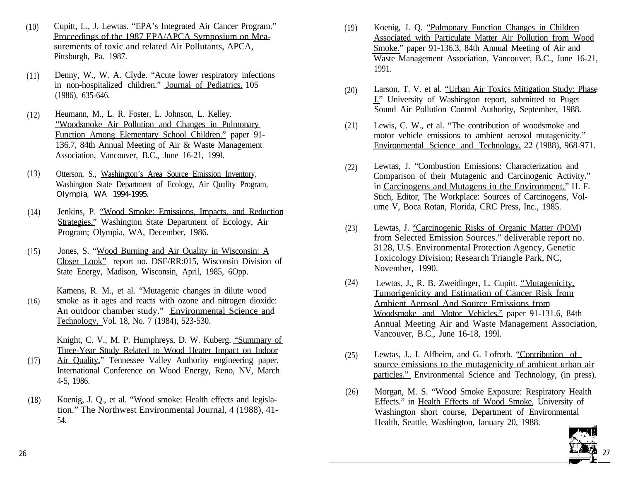- $(10)$ Cupitt, L., J. Lewtas. "EPA's Integrated Air Cancer Program." Proceedings of the 1987 EPA/APCA Symposium on Measurements of toxic and related Air Pollutants, APCA, Pittsburgh, Pa. 1987.
- (11) Denny, W., W. A. Clyde. "Acute lower respiratory infections in non-hospitalized children." Journal of Pediatrics, 105 (1986), 635-646.
- (12) Heumann, M., L. R. Foster, L. Johnson, L. Kelley. "Woodsmoke Air Pollution and Changes in Pulmonary Function Among Elementary School Children." paper 91- 136.7, 84th Annual Meeting of Air & Waste Management Association, Vancouver, B.C., June 16-21, 199l.
- (13) Otterson, S., Washington's Area Source Emission Inventory, Washington State Department of Ecology, Air Quality Program, Olympia, WA 1994-1995.
- $(14)$ Jenkins, P. "Wood Smoke: Emissions, Impacts, and Reduction Strategies." Washington State Department of Ecology, Air Program; Olympia, WA, December, 1986.
- (15) Jones, S. "Wood Burning and Air Quality in Wisconsin: A Closer Look" report no. DSE/RR:015, Wisconsin Division of State Energy, Madison, Wisconsin, April, 1985, 6Opp.

(16) Kamens, R. M., et al. "Mutagenic changes in dilute wood smoke as it ages and reacts with ozone and nitrogen dioxide: An outdoor chamber study." Environmental Science and Technology, Vol. 18, No. 7 (1984), 523-530.

> Knight, C. V., M. P. Humphreys, D. W. Kuberg. "Summary of Three-Year Study Related to Wood Heater Impact on Indoor

- (17) Air Quality." Tennessee Valley Authority engineering paper, International Conference on Wood Energy, Reno, NV, March 4-5, 1986.
- (18) Koenig, J. Q., et al. "Wood smoke: Health effects and legislation." The Northwest Environmental Journal, 4 (1988), 41- 54.
- (19) Koenig, J. Q. "Pulmonary Function Changes in Children Associated with Particulate Matter Air Pollution from Wood Smoke." paper 91-136.3, 84th Annual Meeting of Air and Waste Management Association, Vancouver, B.C., June 16-21, 1991.
- $(20)$ Larson, T. V. et al. "Urban Air Toxics Mitigation Study: Phase I." University of Washington report, submitted to Puget Sound Air Pollution Control Authority, September, 1988.
- (21) Lewis, C. W., et al. "The contribution of woodsmoke and motor vehicle emissions to ambient aerosol mutagenicity." Environmental Science and Technology, 22 (1988), 968-971.
- (22) Lewtas, J. "Combustion Emissions: Characterization and Comparison of their Mutagenic and Carcinogenic Activity." in Carcinogens and Mutagens in the Environment," H. F. Stich, Editor, The Workplace: Sources of Carcinogens, Volume V, Boca Rotan, Florida, CRC Press, Inc., 1985.
- (23) Lewtas, J. "Carcinogenic Risks of Organic Matter (POM) from Selected Emission Sources." deliverable report no. 3128, U.S. Environmental Protection Agency, Genetic Toxicology Division; Research Triangle Park, NC, November, 1990.
- (24) Lewtas, J., R. B. Zweidinger, L. Cupitt. "Mutagenicity, Tumorigenicity and Estimation of Cancer Risk from Ambient Aerosol And Source Emissions from Woodsmoke and Motor Vehicles." paper 91-131.6, 84th Annual Meeting Air and Waste Management Association, Vancouver, B.C., June 16-18, 199l.
- (25) Lewtas, J.. I. Alfheim, and G. Lofroth. "Contribution of source emissions to the mutagenicity of ambient urban air particles." Environmental Science and Technology, (in press).
- (26) Morgan, M. S. "Wood Smoke Exposure: Respiratory Health Effects." in Health Effects of Wood Smoke, University of Washington short course, Department of Environmental Health, Seattle, Washington, January 20, 1988.